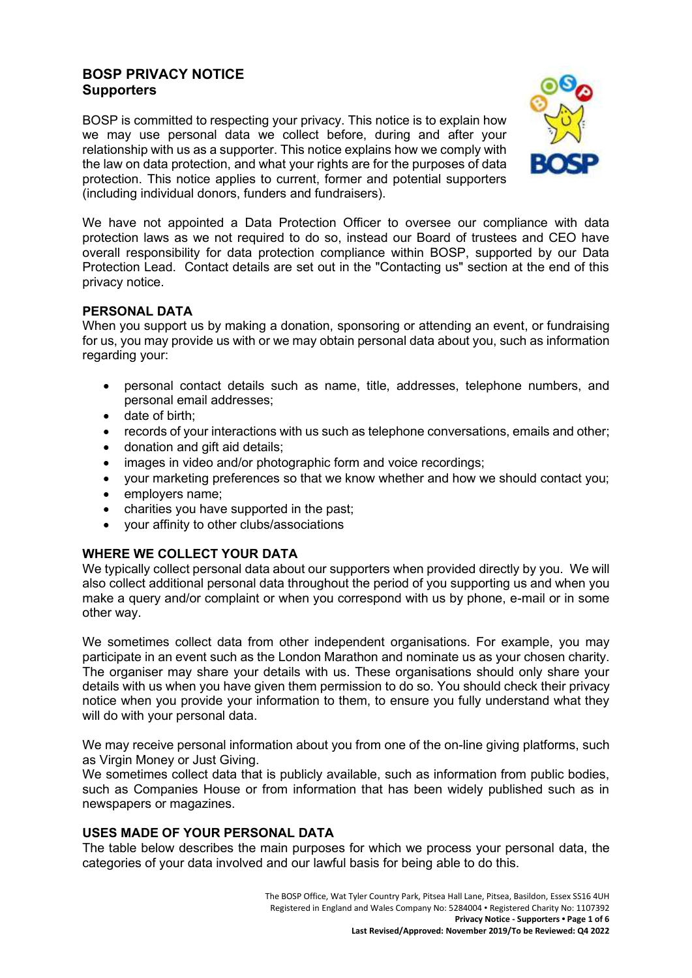### **BOSP PRIVACY NOTICE Supporters**

BOSP is committed to respecting your privacy. This notice is to explain how we may use personal data we collect before, during and after your relationship with us as a supporter. This notice explains how we comply with the law on data protection, and what your rights are for the purposes of data protection. This notice applies to current, former and potential supporters (including individual donors, funders and fundraisers).



We have not appointed a Data Protection Officer to oversee our compliance with data protection laws as we not required to do so, instead our Board of trustees and CEO have overall responsibility for data protection compliance within BOSP, supported by our Data Protection Lead. Contact details are set out in the "Contacting us" section at the end of this privacy notice.

#### **PERSONAL DATA**

When you support us by making a donation, sponsoring or attending an event, or fundraising for us, you may provide us with or we may obtain personal data about you, such as information regarding your:

- personal contact details such as name, title, addresses, telephone numbers, and personal email addresses;
- date of birth;
- records of your interactions with us such as telephone conversations, emails and other;
- donation and gift aid details:
- images in video and/or photographic form and voice recordings:
- your marketing preferences so that we know whether and how we should contact you;
- employers name;
- charities you have supported in the past;
- your affinity to other clubs/associations

#### **WHERE WE COLLECT YOUR DATA**

We typically collect personal data about our supporters when provided directly by you. We will also collect additional personal data throughout the period of you supporting us and when you make a query and/or complaint or when you correspond with us by phone, e-mail or in some other way.

We sometimes collect data from other independent organisations. For example, you may participate in an event such as the London Marathon and nominate us as your chosen charity. The organiser may share your details with us. These organisations should only share your details with us when you have given them permission to do so. You should check their privacy notice when you provide your information to them, to ensure you fully understand what they will do with your personal data.

We may receive personal information about you from one of the on-line giving platforms, such as Virgin Money or Just Giving.

We sometimes collect data that is publicly available, such as information from public bodies, such as Companies House or from information that has been widely published such as in newspapers or magazines.

#### **USES MADE OF YOUR PERSONAL DATA**

The table below describes the main purposes for which we process your personal data, the categories of your data involved and our lawful basis for being able to do this.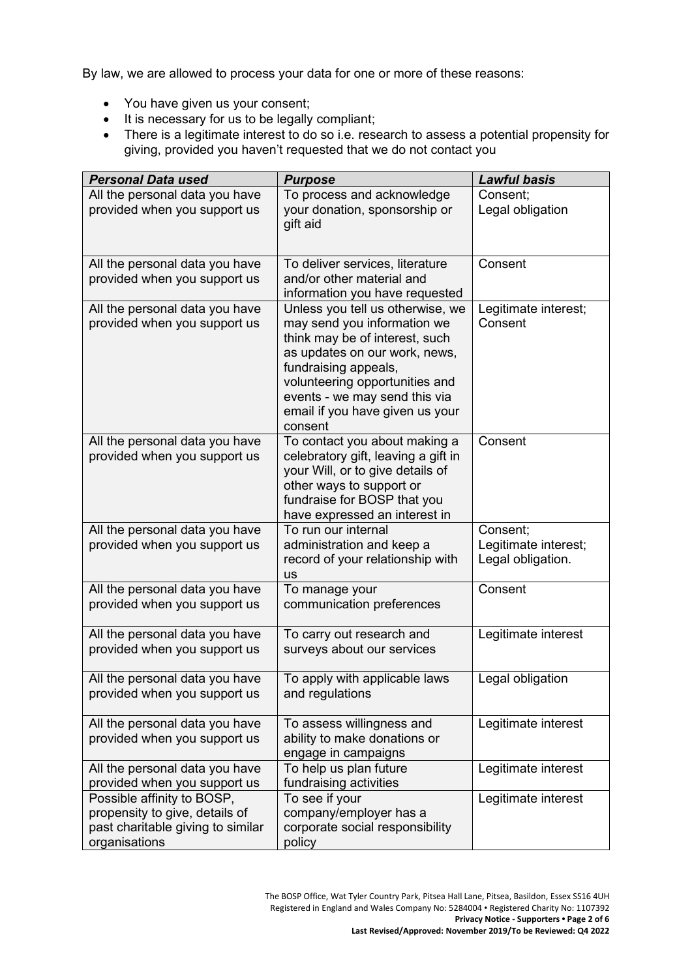By law, we are allowed to process your data for one or more of these reasons:

- You have given us your consent;
- It is necessary for us to be legally compliant;
- There is a legitimate interest to do so i.e. research to assess a potential propensity for giving, provided you haven't requested that we do not contact you

| <b>Personal Data used</b>                                           | <b>Purpose</b>                                                  | <b>Lawful basis</b>                       |
|---------------------------------------------------------------------|-----------------------------------------------------------------|-------------------------------------------|
| All the personal data you have                                      | To process and acknowledge                                      | Consent:                                  |
| provided when you support us                                        | your donation, sponsorship or                                   | Legal obligation                          |
|                                                                     | gift aid                                                        |                                           |
|                                                                     |                                                                 |                                           |
| All the personal data you have                                      | To deliver services, literature                                 | Consent                                   |
| provided when you support us                                        | and/or other material and                                       |                                           |
|                                                                     | information you have requested                                  |                                           |
| All the personal data you have                                      | Unless you tell us otherwise, we                                | Legitimate interest;                      |
| provided when you support us                                        | may send you information we                                     | Consent                                   |
|                                                                     | think may be of interest, such                                  |                                           |
|                                                                     | as updates on our work, news,                                   |                                           |
|                                                                     | fundraising appeals,                                            |                                           |
|                                                                     | volunteering opportunities and<br>events - we may send this via |                                           |
|                                                                     | email if you have given us your                                 |                                           |
|                                                                     | consent                                                         |                                           |
| All the personal data you have                                      | To contact you about making a                                   | Consent                                   |
| provided when you support us                                        | celebratory gift, leaving a gift in                             |                                           |
|                                                                     | your Will, or to give details of                                |                                           |
|                                                                     | other ways to support or                                        |                                           |
|                                                                     | fundraise for BOSP that you                                     |                                           |
|                                                                     | have expressed an interest in                                   |                                           |
| All the personal data you have                                      | To run our internal                                             | Consent;                                  |
| provided when you support us                                        | administration and keep a<br>record of your relationship with   | Legitimate interest;<br>Legal obligation. |
|                                                                     | <b>us</b>                                                       |                                           |
| All the personal data you have                                      | To manage your                                                  | Consent                                   |
| provided when you support us                                        | communication preferences                                       |                                           |
|                                                                     |                                                                 |                                           |
| All the personal data you have                                      | To carry out research and                                       | Legitimate interest                       |
| provided when you support us                                        | surveys about our services                                      |                                           |
| All the personal data you have                                      | To apply with applicable laws                                   | Legal obligation                          |
| provided when you support us                                        | and regulations                                                 |                                           |
|                                                                     |                                                                 |                                           |
| All the personal data you have                                      | To assess willingness and                                       | Legitimate interest                       |
| provided when you support us                                        | ability to make donations or                                    |                                           |
|                                                                     | engage in campaigns                                             |                                           |
| All the personal data you have                                      | To help us plan future                                          | Legitimate interest                       |
| provided when you support us                                        | fundraising activities                                          |                                           |
| Possible affinity to BOSP,                                          | To see if your                                                  | Legitimate interest                       |
| propensity to give, details of<br>past charitable giving to similar | company/employer has a<br>corporate social responsibility       |                                           |
| organisations                                                       | policy                                                          |                                           |
|                                                                     |                                                                 |                                           |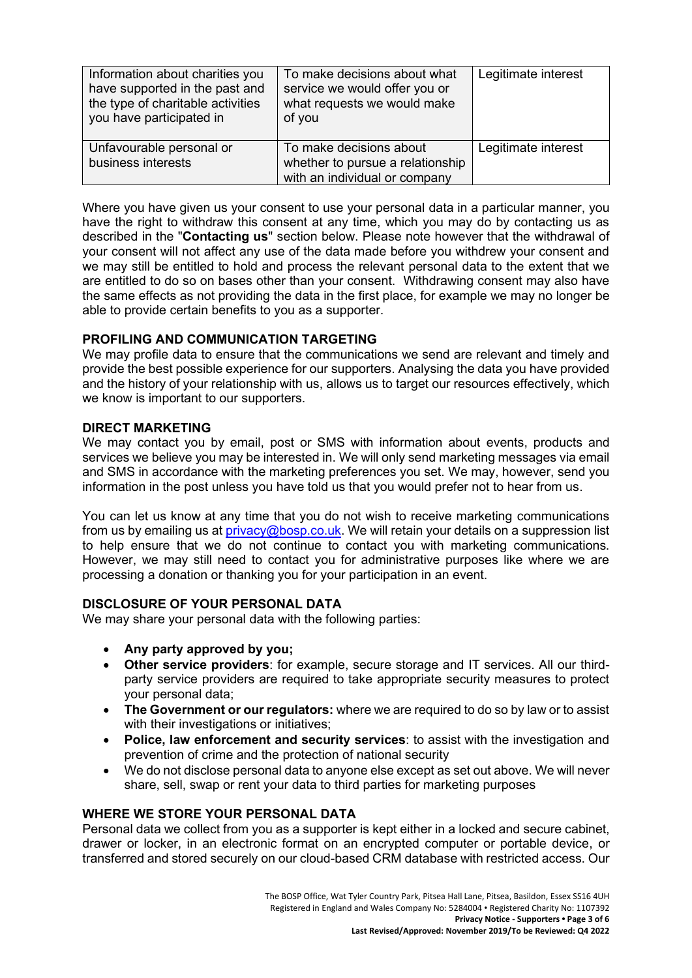| Information about charities you<br>have supported in the past and<br>the type of charitable activities<br>you have participated in | To make decisions about what<br>service we would offer you or<br>what requests we would make<br>of you | Legitimate interest |
|------------------------------------------------------------------------------------------------------------------------------------|--------------------------------------------------------------------------------------------------------|---------------------|
| Unfavourable personal or<br>business interests                                                                                     | To make decisions about<br>whether to pursue a relationship<br>with an individual or company           | Legitimate interest |

Where you have given us your consent to use your personal data in a particular manner, you have the right to withdraw this consent at any time, which you may do by contacting us as described in the "**Contacting us**" section below. Please note however that the withdrawal of your consent will not affect any use of the data made before you withdrew your consent and we may still be entitled to hold and process the relevant personal data to the extent that we are entitled to do so on bases other than your consent. Withdrawing consent may also have the same effects as not providing the data in the first place, for example we may no longer be able to provide certain benefits to you as a supporter.

## **PROFILING AND COMMUNICATION TARGETING**

We may profile data to ensure that the communications we send are relevant and timely and provide the best possible experience for our supporters. Analysing the data you have provided and the history of your relationship with us, allows us to target our resources effectively, which we know is important to our supporters.

#### **DIRECT MARKETING**

We may contact you by email, post or SMS with information about events, products and services we believe you may be interested in. We will only send marketing messages via email and SMS in accordance with the marketing preferences you set. We may, however, send you information in the post unless you have told us that you would prefer not to hear from us.

You can let us know at any time that you do not wish to receive marketing communications from us by emailing us at [privacy@bosp.co.uk.](mailto:privacy@bosp.co.uk) We will retain your details on a suppression list to help ensure that we do not continue to contact you with marketing communications. However, we may still need to contact you for administrative purposes like where we are processing a donation or thanking you for your participation in an event.

# **DISCLOSURE OF YOUR PERSONAL DATA**

We may share your personal data with the following parties:

- **Any party approved by you;**
- **Other service providers**: for example, secure storage and IT services. All our thirdparty service providers are required to take appropriate security measures to protect your personal data;
- **The Government or our regulators:** where we are required to do so by law or to assist with their investigations or initiatives;
- **Police, law enforcement and security services**: to assist with the investigation and prevention of crime and the protection of national security
- We do not disclose personal data to anyone else except as set out above. We will never share, sell, swap or rent your data to third parties for marketing purposes

#### **WHERE WE STORE YOUR PERSONAL DATA**

Personal data we collect from you as a supporter is kept either in a locked and secure cabinet, drawer or locker, in an electronic format on an encrypted computer or portable device, or transferred and stored securely on our cloud-based CRM database with restricted access. Our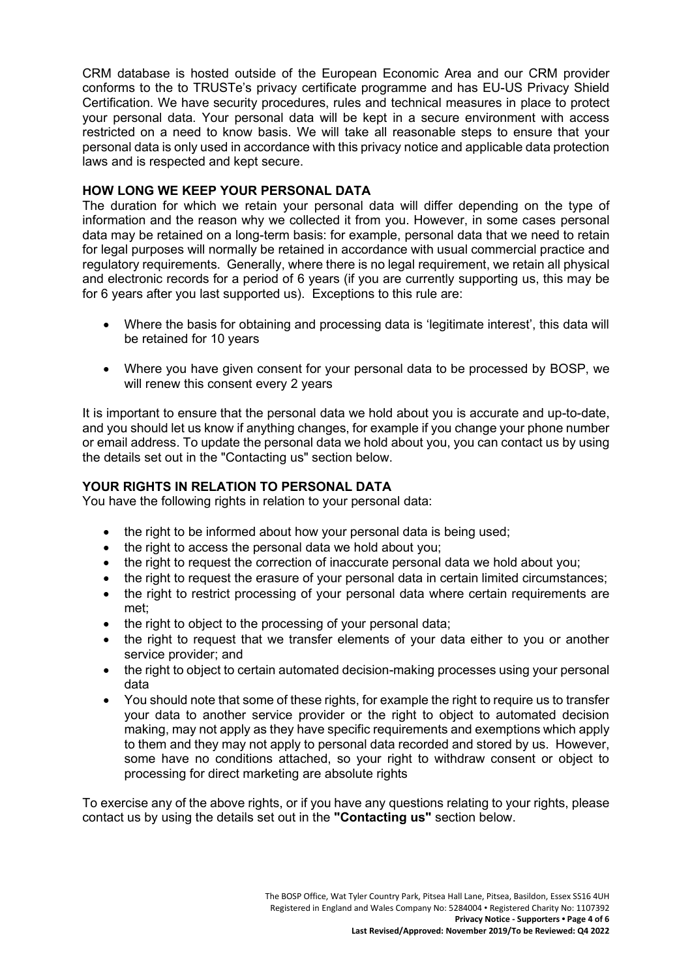CRM database is hosted outside of the European Economic Area and our CRM provider conforms to the to TRUSTe's privacy certificate programme and has EU-US Privacy Shield Certification. We have security procedures, rules and technical measures in place to protect your personal data. Your personal data will be kept in a secure environment with access restricted on a need to know basis. We will take all reasonable steps to ensure that your personal data is only used in accordance with this privacy notice and applicable data protection laws and is respected and kept secure.

### **HOW LONG WE KEEP YOUR PERSONAL DATA**

The duration for which we retain your personal data will differ depending on the type of information and the reason why we collected it from you. However, in some cases personal data may be retained on a long-term basis: for example, personal data that we need to retain for legal purposes will normally be retained in accordance with usual commercial practice and regulatory requirements. Generally, where there is no legal requirement, we retain all physical and electronic records for a period of 6 years (if you are currently supporting us, this may be for 6 years after you last supported us). Exceptions to this rule are:

- Where the basis for obtaining and processing data is 'legitimate interest', this data will be retained for 10 years
- Where you have given consent for your personal data to be processed by BOSP, we will renew this consent every 2 years

It is important to ensure that the personal data we hold about you is accurate and up-to-date, and you should let us know if anything changes, for example if you change your phone number or email address. To update the personal data we hold about you, you can contact us by using the details set out in the "Contacting us" section below.

## **YOUR RIGHTS IN RELATION TO PERSONAL DATA**

You have the following rights in relation to your personal data:

- the right to be informed about how your personal data is being used;
- the right to access the personal data we hold about you;
- the right to request the correction of inaccurate personal data we hold about you;
- the right to request the erasure of your personal data in certain limited circumstances;
- the right to restrict processing of your personal data where certain requirements are met;
- the right to object to the processing of your personal data;
- the right to request that we transfer elements of your data either to you or another service provider; and
- the right to object to certain automated decision-making processes using your personal data
- You should note that some of these rights, for example the right to require us to transfer your data to another service provider or the right to object to automated decision making, may not apply as they have specific requirements and exemptions which apply to them and they may not apply to personal data recorded and stored by us. However, some have no conditions attached, so your right to withdraw consent or object to processing for direct marketing are absolute rights

To exercise any of the above rights, or if you have any questions relating to your rights, please contact us by using the details set out in the **"Contacting us"** section below.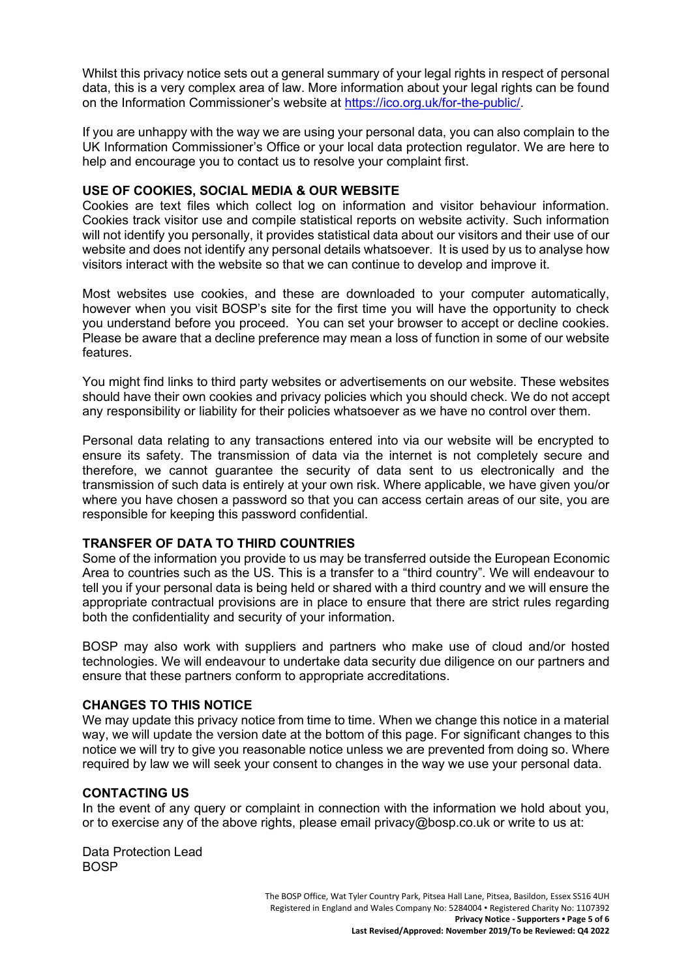Whilst this privacy notice sets out a general summary of your legal rights in respect of personal data, this is a very complex area of law. More information about your legal rights can be found on the Information Commissioner's website at [https://ico.org.uk/for-the-public/.](https://ico.org.uk/for-the-public/)

If you are unhappy with the way we are using your personal data, you can also complain to the UK Information Commissioner's Office or your local data protection regulator. We are here to help and encourage you to contact us to resolve your complaint first.

#### **USE OF COOKIES, SOCIAL MEDIA & OUR WEBSITE**

Cookies are text files which collect log on information and visitor behaviour information. Cookies track visitor use and compile statistical reports on website activity. Such information will not identify you personally, it provides statistical data about our visitors and their use of our website and does not identify any personal details whatsoever. It is used by us to analyse how visitors interact with the website so that we can continue to develop and improve it.

Most websites use cookies, and these are downloaded to your computer automatically, however when you visit BOSP's site for the first time you will have the opportunity to check you understand before you proceed. You can set your browser to accept or decline cookies. Please be aware that a decline preference may mean a loss of function in some of our website features.

You might find links to third party websites or advertisements on our website. These websites should have their own cookies and privacy policies which you should check. We do not accept any responsibility or liability for their policies whatsoever as we have no control over them.

Personal data relating to any transactions entered into via our website will be encrypted to ensure its safety. The transmission of data via the internet is not completely secure and therefore, we cannot guarantee the security of data sent to us electronically and the transmission of such data is entirely at your own risk. Where applicable, we have given you/or where you have chosen a password so that you can access certain areas of our site, you are responsible for keeping this password confidential.

# **TRANSFER OF DATA TO THIRD COUNTRIES**

Some of the information you provide to us may be transferred outside the European Economic Area to countries such as the US. This is a transfer to a "third country". We will endeavour to tell you if your personal data is being held or shared with a third country and we will ensure the appropriate contractual provisions are in place to ensure that there are strict rules regarding both the confidentiality and security of your information.

BOSP may also work with suppliers and partners who make use of cloud and/or hosted technologies. We will endeavour to undertake data security due diligence on our partners and ensure that these partners conform to appropriate accreditations.

### **CHANGES TO THIS NOTICE**

We may update this privacy notice from time to time. When we change this notice in a material way, we will update the version date at the bottom of this page. For significant changes to this notice we will try to give you reasonable notice unless we are prevented from doing so. Where required by law we will seek your consent to changes in the way we use your personal data.

#### **CONTACTING US**

In the event of any query or complaint in connection with the information we hold about you, or to exercise any of the above rights, please email privacy@bosp.co.uk or write to us at:

Data Protection Lead BOSP